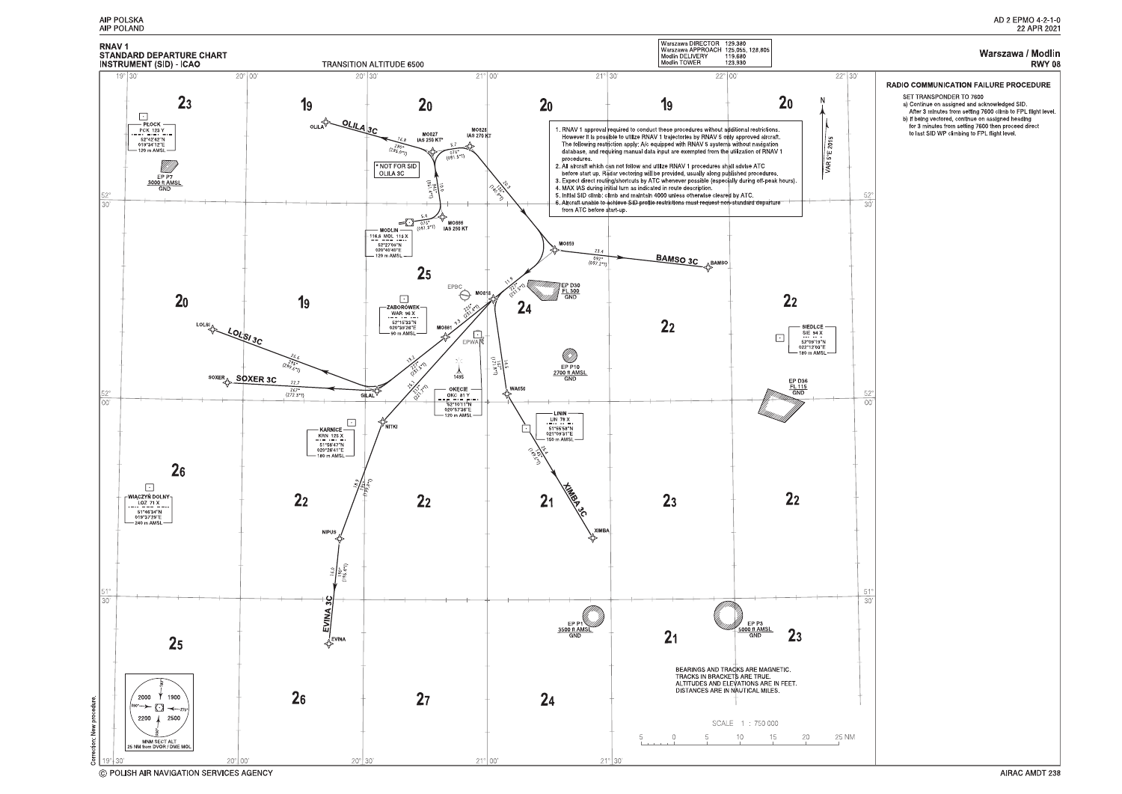

C POLISH AIR NAVIGATION SERVICES AGENCY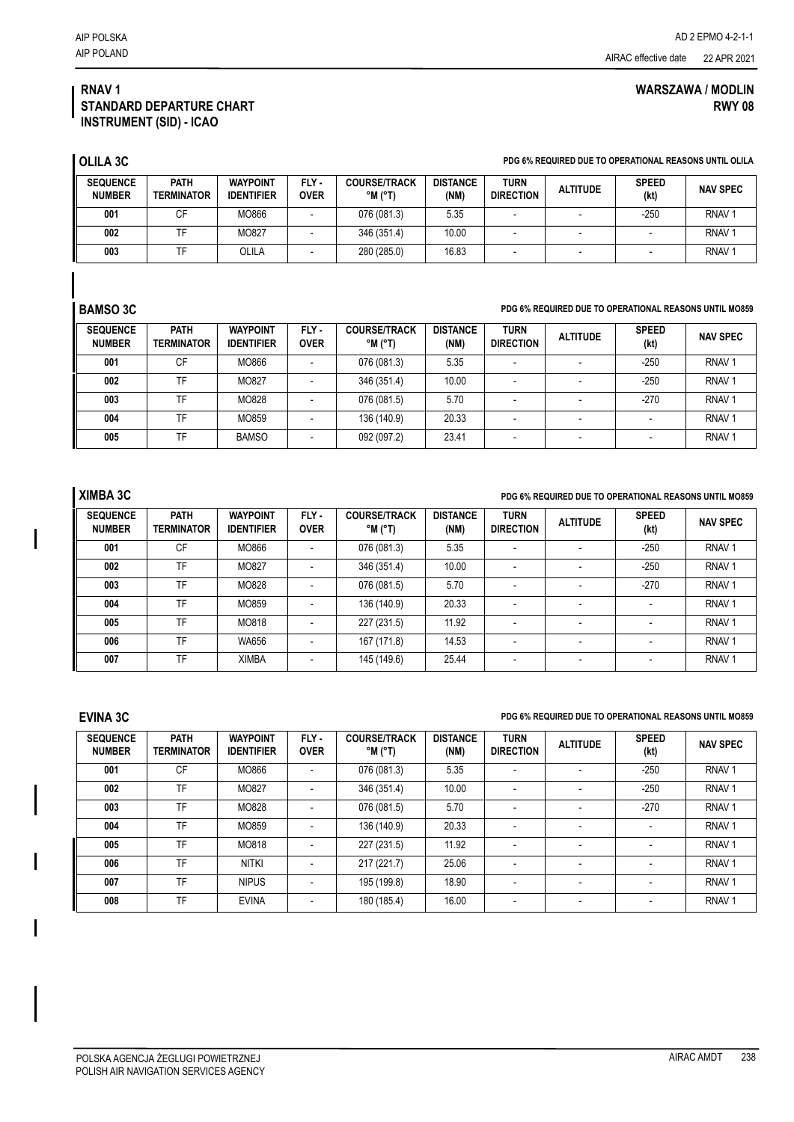## **WARSZAWA / MODLIN RWY 08**

## **RNAV 1 STANDARD DEPARTURE CHART INSTRUMENT (SID) - ICAO**

| <b>OLILA 3C</b>                  |                                  |                                      |                      |                                                   |                         |                                 |                 | PDG 6% REQUIRED DUE TO OPERATIONAL REASONS UNTIL OLILA |                   |
|----------------------------------|----------------------------------|--------------------------------------|----------------------|---------------------------------------------------|-------------------------|---------------------------------|-----------------|--------------------------------------------------------|-------------------|
| <b>SEQUENCE</b><br><b>NUMBER</b> | <b>PATH</b><br><b>TERMINATOR</b> | <b>WAYPOINT</b><br><b>IDENTIFIER</b> | FLY -<br><b>OVER</b> | <b>COURSE/TRACK</b><br>$^{\circ}$ M $^{\circ}$ T) | <b>DISTANCE</b><br>(NM) | <b>TURN</b><br><b>DIRECTION</b> | <b>ALTITUDE</b> | <b>SPEED</b><br>(kt)                                   | <b>NAV SPEC</b>   |
| 001                              | СF                               | MO866                                |                      | 076 (081.3)                                       | 5.35                    |                                 |                 | $-250$                                                 | RNAV <sub>1</sub> |
| 002                              | ΤF                               | MO827                                |                      | 346 (351.4)                                       | 10.00                   | $\overline{\phantom{0}}$        |                 |                                                        | RNAV <sub>1</sub> |
| 003                              | TF                               | OLILA                                |                      | 280 (285.0)                                       | 16.83                   |                                 |                 |                                                        | RNAV <sub>1</sub> |

## **BAMSO 3C PDG 6% REQUIRED DUE TO OPERATIONAL REASONS UNTIL MO859**

| <b>SEQUENCE</b><br><b>NUMBER</b> | <b>PATH</b><br><b>TERMINATOR</b> | <b>WAYPOINT</b><br><b>IDENTIFIER</b> | FLY-<br><b>OVER</b> | <b>COURSE/TRACK</b><br>$^{\circ}$ M $^{\circ}$ T) | <b>DISTANCE</b><br>(NM) | <b>TURN</b><br><b>DIRECTION</b> | <b>ALTITUDE</b> | <b>SPEED</b><br>(kt) | <b>NAV SPEC</b>   |
|----------------------------------|----------------------------------|--------------------------------------|---------------------|---------------------------------------------------|-------------------------|---------------------------------|-----------------|----------------------|-------------------|
| 001                              | СF                               | MO866                                |                     | 076 (081.3)                                       | 5.35                    |                                 |                 | $-250$               | RNAV <sub>1</sub> |
| 002                              | TF                               | MO827                                |                     | 346 (351.4)                                       | 10.00                   |                                 |                 | $-250$               | RNAV <sub>1</sub> |
| 003                              | TF                               | MO828                                |                     | 076 (081.5)                                       | 5.70                    |                                 |                 | $-270$               | RNAV <sub>1</sub> |
| 004                              | TF                               | MO859                                |                     | 136 (140.9)                                       | 20.33                   |                                 |                 |                      | RNAV <sub>1</sub> |
| 005                              | TF                               | <b>BAMSO</b>                         |                     | 092 (097.2)                                       | 23.41                   |                                 |                 |                      | RNAV <sup>-</sup> |

## **XIMBA 3C PDG 6% REQUIRED DUE TO OPERATIONAL REASONS UNTIL MO859**

| <b>SEQUENCE</b><br><b>NUMBER</b> | <b>PATH</b><br><b>TERMINATOR</b> | <b>WAYPOINT</b><br><b>IDENTIFIER</b> | FLY-<br><b>OVER</b> | <b>COURSE/TRACK</b><br>$^{\circ}$ M $^{\circ}$ T) | <b>DISTANCE</b><br>(NM) | <b>TURN</b><br><b>DIRECTION</b> | <b>ALTITUDE</b>          | <b>SPEED</b><br>(kt)     | <b>NAV SPEC</b>   |
|----------------------------------|----------------------------------|--------------------------------------|---------------------|---------------------------------------------------|-------------------------|---------------------------------|--------------------------|--------------------------|-------------------|
| 001                              | CF                               | MO866                                |                     | 076 (081.3)                                       | 5.35                    | $\overline{\phantom{a}}$        |                          | $-250$                   | RNAV <sub>1</sub> |
| 002                              | <b>TF</b>                        | MO827                                |                     | 346 (351.4)                                       | 10.00                   | $\overline{\phantom{a}}$        |                          | $-250$                   | RNAV <sub>1</sub> |
| 003                              | TF                               | MO828                                |                     | 076 (081.5)                                       | 5.70                    | $\overline{\phantom{a}}$        |                          | $-270$                   | RNAV <sub>1</sub> |
| 004                              | TF                               | MO859                                |                     | 136 (140.9)                                       | 20.33                   | $\overline{\phantom{a}}$        |                          |                          | RNAV <sub>1</sub> |
| 005                              | TF                               | MO818                                |                     | 227 (231.5)                                       | 11.92                   | $\overline{\phantom{a}}$        | $\overline{\phantom{a}}$ | $\overline{\phantom{0}}$ | RNAV <sub>1</sub> |
| 006                              | TF                               | WA656                                |                     | 167 (171.8)                                       | 14.53                   |                                 |                          |                          | RNAV <sub>1</sub> |
| 007                              | TF                               | <b>XIMBA</b>                         |                     | 145 (149.6)                                       | 25.44                   | $\overline{\phantom{a}}$        | $\overline{\phantom{0}}$ |                          | RNAV <sub>1</sub> |

### **EVINA 3C PDG 6% REQUIRED DUE TO OPERATIONAL REASONS UNTIL MO859**

**SEQUENCE NUMBER PATH TERMINATOR WAYPOINT IDENTIFIER FLY - OVER COURSE/TRACK °M (°T) DISTANCE (NM) TURN DIRECTION ALTITUDE SPEED SPEED (kt) NAV SPEC 001** | CF | MO866 | - | 076(081.3) | 5.35 | - | - | -250 | RNAV1 **002** | TF | MO827 | - | 346(351.4) | 10.00 | - | - | - 250 | RNAV 1 **003** | TF | MO828 | - | 076 (081.5) | 5.70 | - | - | -270 | RNAV 1 **004** | TF | MO859 | - | 136(140.9) | 20.33 | - | - | - | - | RNAV 1 **005** | TF | MO818 | - | 227(231.5) | 11.92 | - | - | - | - | RNAV 1 **006** | TF | NITKI | - | 217 (221.7) | 25.06 | - | - | - | RNAV 1 **007** | TF | NIPUS | - | 195(199.8) | 18.90 | - | - | - | - | RNAV 1 **008** | TF | EVINA | - | 180 (185.4) | 16.00 | - | - | - | - | RNAV 1